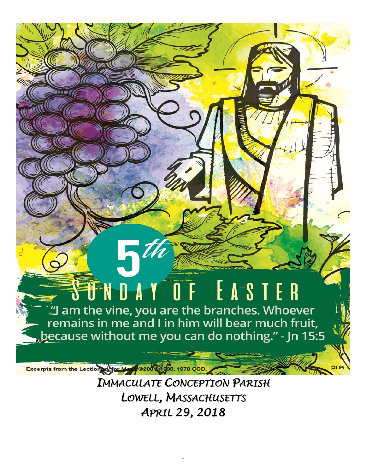# STNDAY OF EASTER

 $7^{\prime}$ 

**Excerpts from the Lectionary for Mer** 

... am the vine, you are the branches. Whoever remains in me and I in him will bear much fruit, because without me you can do nothing." - Jn 15:5

> *IMMACULATE CONCEPTION PARISH LOWELL, MASSACHUSETTS APRIL 29, 2018*

02001 1908, 1970 CCD.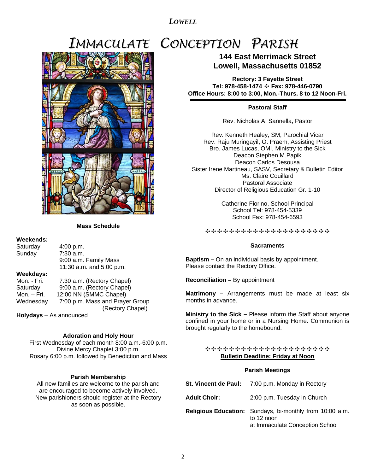## *IMMACULATE CONCEPTION PARISH*



## **Mass Schedule**

## **Weekends:**

Saturday 4:00 p.m.<br>Sunday 7:30 a.m. Sunday 9:00 a.m. Family Mass 11:30 a.m. and 5:00 p.m. **Weekdays:** 

Mon. - Fri. 7:30 a.m. (Rectory Chapel) Saturday 9:00 a.m. (Rectory Chapel) Mon. – Fri. 12:00 NN (SMMC Chapel) Wednesday 7:00 p.m. Mass and Prayer Group (Rectory Chapel)

**Holydays** – As announced

## **Adoration and Holy Hour**

First Wednesday of each month 8:00 a.m.-6:00 p.m. Divine Mercy Chaplet 3:00 p.m. Rosary 6:00 p.m. followed by Benediction and Mass

## **Parish Membership**

All new families are welcome to the parish and are encouraged to become actively involved. New parishioners should register at the Rectory as soon as possible.

## **144 East Merrimack Street Lowell, Massachusetts 01852**

**Rectory: 3 Fayette Street Tel: 978-458-1474** ✣ **Fax: 978-446-0790 Office Hours: 8:00 to 3:00, Mon.-Thurs. 8 to 12 Noon-Fri.** 

## **Pastoral Staff**

Rev. Nicholas A. Sannella, Pastor

Rev. Kenneth Healey, SM, Parochial Vicar Rev. Raju Muringayil, O. Praem, Assisting Priest Bro. James Lucas, OMI, Ministry to the Sick Deacon Stephen M.Papik Deacon Carlos Desousa Sister Irene Martineau, SASV, Secretary & Bulletin Editor Ms. Claire Couillard Pastoral Associate Director of Religious Education Gr. 1-10

> Catherine Fiorino, School Principal School Tel: 978-454-5339 School Fax: 978-454-6593

✣✣✣✣✣✣✣✣✣✣✣✣✣✣✣✣✣✣✣✣✣

## **Sacraments**

**Baptism –** On an individual basis by appointment. Please contact the Rectory Office.

**Reconciliation –** By appointment

**Matrimony –** Arrangements must be made at least six months in advance.

**Ministry to the Sick –** Please inform the Staff about anyone confined in your home or in a Nursing Home. Communion is brought regularly to the homebound.

## ✣✣✣✣✣✣✣✣✣✣✣✣✣✣✣✣✣✣✣✣✣ **Bulletin Deadline: Friday at Noon**

## **Parish Meetings**

|                     | <b>St. Vincent de Paul:</b> 7:00 p.m. Monday in Rectory                                                          |
|---------------------|------------------------------------------------------------------------------------------------------------------|
| <b>Adult Choir:</b> | 2:00 p.m. Tuesday in Church                                                                                      |
|                     | <b>Religious Education:</b> Sundays, bi-monthly from 10:00 a.m.<br>to 12 noon<br>at Immaculate Conception School |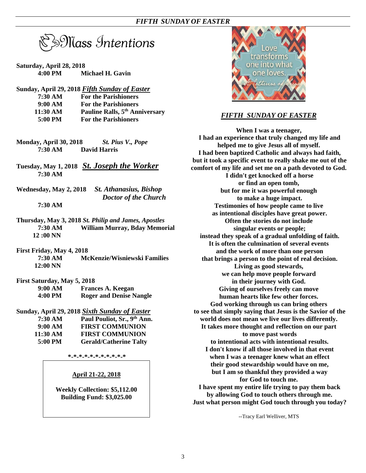$\mathbb S$ Nass Intentions

- **Saturday, April 28, 2018 4:00 PM Michael H. Gavin**
- **Sunday, April 29, 2018** *Fifth Sunday of Easter*

| 7:30 AM  | <b>For the Parishioners</b>                |
|----------|--------------------------------------------|
| 9:00 AM  | <b>For the Parishioners</b>                |
| 11:30 AM | Pauline Ralls, 5 <sup>th</sup> Anniversary |
| 5:00 PM  | <b>For the Parishioners</b>                |

- **Monday, April 30, 2018** *St. Pius V., Pope* **7:30 AM David Harris**
- **Tuesday, May 1, 2018** *St. Joseph the Worker* **7:30 AM**
- **Wednesday, May 2, 2018** *St. Athanasius, Bishop Doctor of the Church*

## **7:30 AM**

- **Thursday, May 3, 2018** *St. Philip and James, Apostles*  **7:30 AM William Murray, Bday Memorial 12 :00 NN**
- **First Friday, May 4, 2018 7:30 AM McKenzie/Wisniewski Families 12:00 NN**
- **First Saturday, May 5, 2018**

| 9:00 AM | <b>Frances A. Keegan</b>       |
|---------|--------------------------------|
| 4:00 PM | <b>Roger and Denise Nangle</b> |

**Sunday, April 29, 2018** *Sixth Sunday of Easter* 

| 7:30 AM  | Paul Pouliot, Sr., 9th Ann.   |
|----------|-------------------------------|
| 9:00 AM  | <b>FIRST COMMUNION</b>        |
| 11:30 AM | <b>FIRST COMMUNION</b>        |
| 5:00 PM  | <b>Gerald/Catherine Talty</b> |

**\*-\*-\*-\*-\*-\*-\*-\*-\*-\*-\*** 

## **April 21-22, 2018**

**Weekly Collection: \$5,112.00 Building Fund: \$3,025.00** 



## *FIFTH SUNDAY OF EASTER*

**When I was a teenager, I had an experience that truly changed my life and helped me to give Jesus all of myself. I had been baptized Catholic and always had faith, but it took a specific event to really shake me out of the comfort of my life and set me on a path devoted to God. I didn't get knocked off a horse or find an open tomb, but for me it was powerful enough to make a huge impact. Testimonies of how people came to live as intentional disciples have great power. Often the stories do not include singular events or people; instead they speak of a gradual unfolding of faith. It is often the culmination of several events and the work of more than one person that brings a person to the point of real decision. Living as good stewards, we can help move people forward in their journey with God. Giving of ourselves freely can move human hearts like few other forces. God working through us can bring others to see that simply saying that Jesus is the Savior of the world does not mean we live our lives differently. It takes more thought and reflection on our part to move past words to intentional acts with intentional results. I don't know if all those involved in that event when I was a teenager knew what an effect their good stewardship would have on me, but I am so thankful they provided a way for God to touch me. I have spent my entire life trying to pay them back by allowing God to touch others through me. Just what person might God touch through you today?** 

--Tracy Earl Welliver, MTS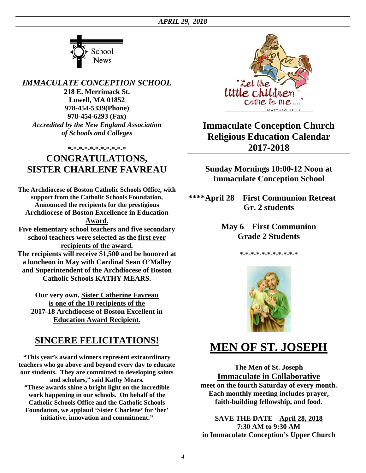

*IMMACULATE CONCEPTION SCHOOL* 

**218 E. Merrimack St. Lowell, MA 01852 978-454-5339(Phone) 978-454-6293 (Fax)**  *Accredited by the New England Association of Schools and Colleges* 

## **\*-\*-\*-\*-\*-\*-\*-\*-\*-\*-\***

## **CONGRATULATIONS, SISTER CHARLENE FAVREAU**

**The Archdiocese of Boston Catholic Schools Office, with support from the Catholic Schools Foundation, Announced the recipients for the prestigious Archdiocese of Boston Excellence in Education Award. Five elementary school teachers and five secondary school teachers were selected as the first ever** 

**recipients of the award. The recipients will receive \$1,500 and be honored at a luncheon in May with Cardinal Sean O'Malley and Superintendent of the Archdiocese of Boston Catholic Schools KATHY MEARS.** 

**Our very own, Sister Catherine Favreau is one of the 10 recipients of the 2017-18 Archdiocese of Boston Excellent in Education Award Recipient.**

## **SINCERE FELICITATIONS!**

**"This year's award winners represent extraordinary teachers who go above and beyond every day to educate our students. They are committed to developing saints and scholars," said Kathy Mears.** 

**"These awards shine a bright light on the incredible work happening in our schools. On behalf of the Catholic Schools Office and the Catholic Schools Foundation, we applaud 'Sister Charlene' for 'her' initiative, innovation and commitment."** 



## **Immaculate Conception Church Religious Education Calendar 2017-2018**

**Sunday Mornings 10:00-12 Noon at Immaculate Conception School** 

**\*\*\*\*April 28 First Communion Retreat Gr. 2 students** 

> **May 6 First Communion Grade 2 Students**

> > **\*-\*-\*-\*-\*-\*-\*-\*-\*-\*-\***



## **MEN OF ST. JOSEPH**

**The Men of St. Joseph Immaculate in Collaborative meet on the fourth Saturday of every month. Each monthly meeting includes prayer, faith-building fellowship, and food.** 

**SAVE THE DATE April 28, 2018 7:30 AM to 9:30 AM in Immaculate Conception's Upper Church** 

4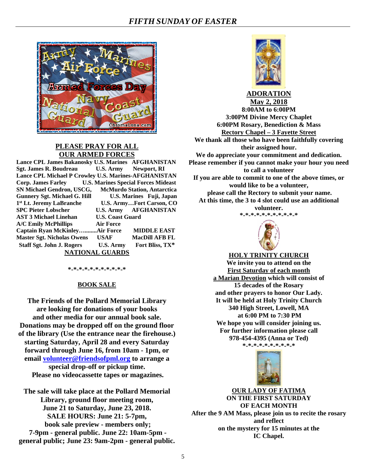

## **PLEASE PRAY FOR ALL OUR ARMED FORCES**

| Lance CPL James Bakanosky U.S. Marines AFGHANISTAN     |                         |                                    |  |  |
|--------------------------------------------------------|-------------------------|------------------------------------|--|--|
| Sgt. James R. Boudreau U.S. Army Newport, RI           |                         |                                    |  |  |
| Lance CPL Michael P Crowley U.S. Marines-AFGHANISTAN   |                         |                                    |  |  |
| Corp. James Farley U.S. Marines Special Forces Mideast |                         |                                    |  |  |
| SN Michael Gendron, USCG,                              |                         | <b>McMurdo Station, Antarctica</b> |  |  |
| <b>Gunnery Sgt. Michael G. Hill</b>                    |                         | U.S. Marines Fuji, Japan           |  |  |
| 1 <sup>st</sup> Lt. Jeremy LaBranche                   |                         | <b>U.S. ArmyFort Carson, CO</b>    |  |  |
| <b>SPC Pieter Lobscher</b>                             |                         | <b>U.S. Army AFGHANISTAN</b>       |  |  |
| <b>AST 3 Michael Linehan</b>                           | <b>U.S. Coast Guard</b> |                                    |  |  |
| <b>A/C Emily McPhillips</b>                            | <b>Air Force</b>        |                                    |  |  |
| <b>Captain Ryan McKinleyAir Force</b>                  |                         | <b>MIDDLE EAST</b>                 |  |  |
| <b>Master Sgt. Nicholas Owens</b>                      | <b>USAF</b>             | <b>MacDill AFB FL</b>              |  |  |
| <b>Staff Sgt. John J. Rogers</b>                       | U.S. Army               | Fort Bliss, TX*                    |  |  |
| <b>NATIONAL GUARDS</b>                                 |                         |                                    |  |  |

**\*-\*-\*-\*-\*-\*-\*-\*-\*-\*-\*** 

## **BOOK SALE**

**The Friends of the Pollard Memorial Library are looking for donations of your books and other media for our annual book sale. Donations may be dropped off on the ground floor of the library (Use the entrance near the firehouse.) starting Saturday, April 28 and every Saturday forward through June 16, from 10am - 1pm, or email volunteer@friendsofpml.org to arrange a special drop-off or pickup time. Please no videocassette tapes or magazines.** 

**The sale will take place at the Pollard Memorial Library, ground floor meeting room, June 21 to Saturday, June 23, 2018. SALE HOURS: June 21: 5-7pm, book sale preview - members only; 7-9pm - general public. June 22: 10am-5pm general public; June 23: 9am-2pm - general public.** 



**ADORATION May 2, 2018**

**8:00AM to 6:00PM 3:00PM Divine Mercy Chaplet 6:00PM Rosary, Benediction & Mass Rectory Chapel – 3 Fayette Street We thank all those who have been faithfully covering their assigned hour. We do appreciate your commitment and dedication. Please remember if you cannot make your hour you need to call a volunteer If you are able to commit to one of the above times, or would like to be a volunteer, please call the Rectory to submit your name. At this time, the 3 to 4 slot could use an additional** 

> **volunteer. \*-\*-\*-\*-\*-\*-\*-\*-\*-\*-\***





**HOLY TRINITY CHURCH** 

**We invite you to attend on the First Saturday of each month a Marian Devotion which will consist of 15 decades of the Rosary and other prayers to honor Our Lady. It will be held at Holy Trinity Church 340 High Street, Lowell, MA at 6:00 PM to 7:30 PM We hope you will consider joining us. For further information please call 978-454-4395 (Anna or Ted) \*-\*-\*-\*-\*-\*-\*-\*-\*-\*** 



**OUR LADY OF FATIMA ON THE FIRST SATURDAY OF EACH MONTH After the 9 AM Mass, please join us to recite the rosary and reflect on the mystery for 15 minutes at the IC Chapel.**